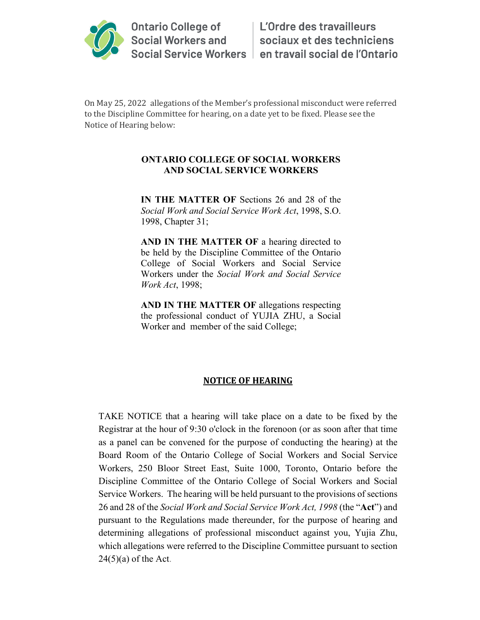

On May 25, 2022 allegations of the Member's professional misconduct were referred to the Discipline Committee for hearing, on a date yet to be fixed. Please see the Notice of Hearing below:

## **ONTARIO COLLEGE OF SOCIAL WORKERS AND SOCIAL SERVICE WORKERS**

**IN THE MATTER OF** Sections 26 and 28 of the *Social Work and Social Service Work Act*, 1998, S.O. 1998, Chapter 31;

**AND IN THE MATTER OF** a hearing directed to be held by the Discipline Committee of the Ontario College of Social Workers and Social Service Workers under the *Social Work and Social Service Work Act*, 1998;

**AND IN THE MATTER OF** allegations respecting the professional conduct of YUJIA ZHU, a Social Worker and member of the said College;

## **NOTICE OF HEARING**

TAKE NOTICE that a hearing will take place on a date to be fixed by the Registrar at the hour of 9:30 o'clock in the forenoon (or as soon after that time as a panel can be convened for the purpose of conducting the hearing) at the Board Room of the Ontario College of Social Workers and Social Service Workers, 250 Bloor Street East, Suite 1000, Toronto, Ontario before the Discipline Committee of the Ontario College of Social Workers and Social Service Workers. The hearing will be held pursuant to the provisions of sections 26 and 28 of the *Social Work and Social Service Work Act, 1998* (the "**Act**") and pursuant to the Regulations made thereunder, for the purpose of hearing and determining allegations of professional misconduct against you, Yujia Zhu, which allegations were referred to the Discipline Committee pursuant to section 24(5)(a) of the Act.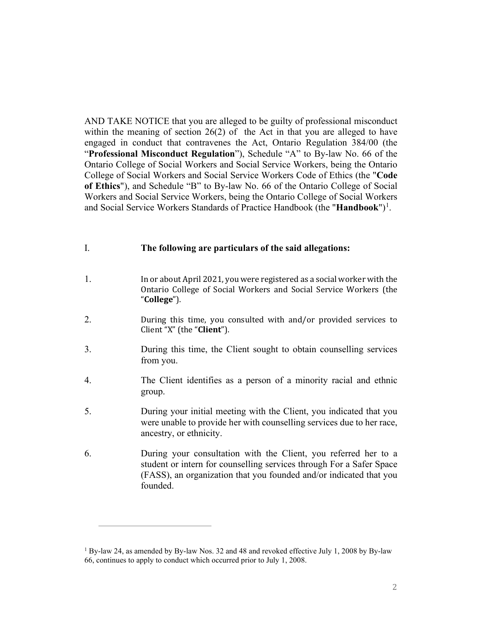AND TAKE NOTICE that you are alleged to be guilty of professional misconduct within the meaning of section 26(2) of the Act in that you are alleged to have engaged in conduct that contravenes the Act, Ontario Regulation 384/00 (the "**Professional Misconduct Regulation**"), Schedule "A" to By-law No. 66 of the Ontario College of Social Workers and Social Service Workers, being the Ontario College of Social Workers and Social Service Workers Code of Ethics (the "**Code of Ethics**"), and Schedule "B" to By-law No. 66 of the Ontario College of Social Workers and Social Service Workers, being the Ontario College of Social Workers and Social Service Workers Standards of Practice Handbook (the "**Handbook**")<sup>[1](#page-1-0)</sup>.

## I. **The following are particulars of the said allegations:**

- 1. In or about April 2021, you were registered as a social worker with the Ontario College of Social Workers and Social Service Workers (the "**College**").
- 2. During this time, you consulted with and/or provided services to Client "X" (the "**Client**").
- 3. During this time, the Client sought to obtain counselling services from you.
- 4. The Client identifies as a person of a minority racial and ethnic group.
- 5. During your initial meeting with the Client, you indicated that you were unable to provide her with counselling services due to her race, ancestry, or ethnicity.
- 6. During your consultation with the Client, you referred her to a student or intern for counselling services through For a Safer Space (FASS), an organization that you founded and/or indicated that you founded.

<span id="page-1-0"></span><sup>1</sup> By-law 24, as amended by By-law Nos. 32 and 48 and revoked effective July 1, 2008 by By-law 66, continues to apply to conduct which occurred prior to July 1, 2008.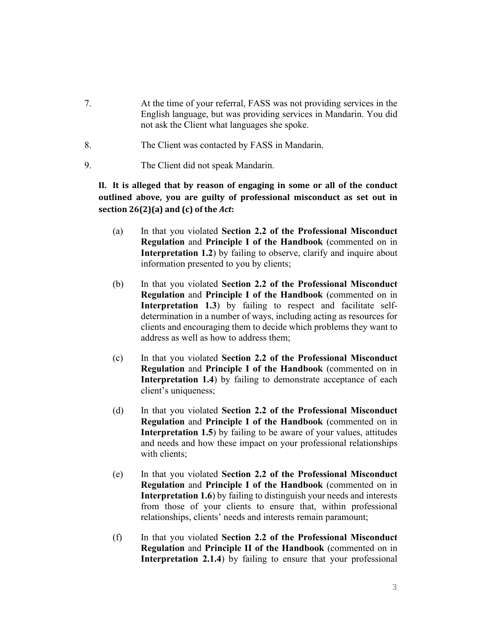- 7. At the time of your referral, FASS was not providing services in the English language, but was providing services in Mandarin. You did not ask the Client what languages she spoke.
- 8. The Client was contacted by FASS in Mandarin.
- 9. The Client did not speak Mandarin.

**II. It is alleged that by reason of engaging in some or all of the conduct outlined above, you are guilty of professional misconduct as set out in section 26(2)(a) and (c) of the** *Act***:**

- (a) In that you violated **Section 2.2 of the Professional Misconduct Regulation** and **Principle I of the Handbook** (commented on in **Interpretation 1.2**) by failing to observe, clarify and inquire about information presented to you by clients;
- (b) In that you violated **Section 2.2 of the Professional Misconduct Regulation** and **Principle I of the Handbook** (commented on in **Interpretation 1.3**) by failing to respect and facilitate selfdetermination in a number of ways, including acting as resources for clients and encouraging them to decide which problems they want to address as well as how to address them;
- (c) In that you violated **Section 2.2 of the Professional Misconduct Regulation** and **Principle I of the Handbook** (commented on in **Interpretation 1.4**) by failing to demonstrate acceptance of each client's uniqueness;
- (d) In that you violated **Section 2.2 of the Professional Misconduct Regulation** and **Principle I of the Handbook** (commented on in **Interpretation 1.5**) by failing to be aware of your values, attitudes and needs and how these impact on your professional relationships with clients:
- (e) In that you violated **Section 2.2 of the Professional Misconduct Regulation** and **Principle I of the Handbook** (commented on in **Interpretation 1.6**) by failing to distinguish your needs and interests from those of your clients to ensure that, within professional relationships, clients' needs and interests remain paramount;
- (f) In that you violated **Section 2.2 of the Professional Misconduct Regulation** and **Principle II of the Handbook** (commented on in **Interpretation 2.1.4**) by failing to ensure that your professional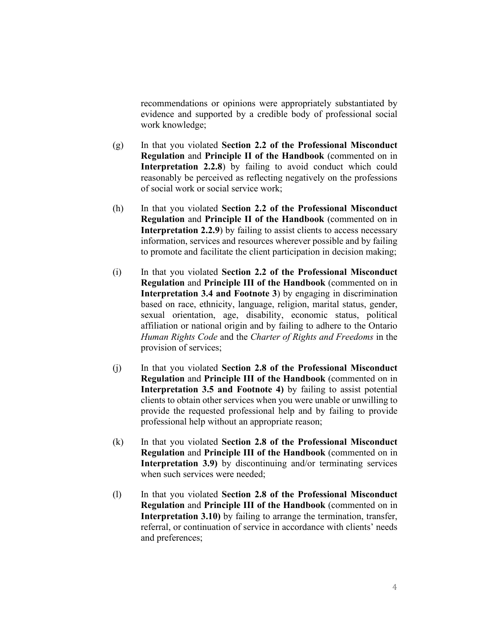recommendations or opinions were appropriately substantiated by evidence and supported by a credible body of professional social work knowledge;

- (g) In that you violated **Section 2.2 of the Professional Misconduct Regulation** and **Principle II of the Handbook** (commented on in **Interpretation 2.2.8**) by failing to avoid conduct which could reasonably be perceived as reflecting negatively on the professions of social work or social service work;
- (h) In that you violated **Section 2.2 of the Professional Misconduct Regulation** and **Principle II of the Handbook** (commented on in **Interpretation 2.2.9**) by failing to assist clients to access necessary information, services and resources wherever possible and by failing to promote and facilitate the client participation in decision making;
- (i) In that you violated **Section 2.2 of the Professional Misconduct Regulation** and **Principle III of the Handbook** (commented on in **Interpretation 3.4 and Footnote 3**) by engaging in discrimination based on race, ethnicity, language, religion, marital status, gender, sexual orientation, age, disability, economic status, political affiliation or national origin and by failing to adhere to the Ontario *Human Rights Code* and the *Charter of Rights and Freedoms* in the provision of services;
- (j) In that you violated **Section 2.8 of the Professional Misconduct Regulation** and **Principle III of the Handbook** (commented on in **Interpretation 3.5 and Footnote 4)** by failing to assist potential clients to obtain other services when you were unable or unwilling to provide the requested professional help and by failing to provide professional help without an appropriate reason;
- (k) In that you violated **Section 2.8 of the Professional Misconduct Regulation** and **Principle III of the Handbook** (commented on in **Interpretation 3.9)** by discontinuing and/or terminating services when such services were needed;
- (l) In that you violated **Section 2.8 of the Professional Misconduct Regulation** and **Principle III of the Handbook** (commented on in **Interpretation 3.10)** by failing to arrange the termination, transfer, referral, or continuation of service in accordance with clients' needs and preferences;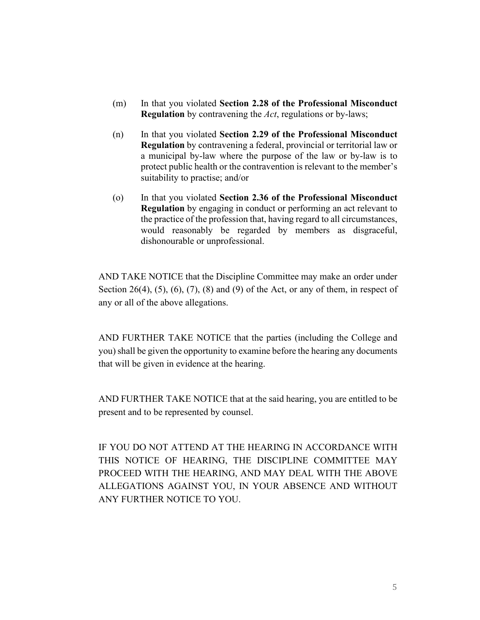- (m) In that you violated **Section 2.28 of the Professional Misconduct Regulation** by contravening the *Act*, regulations or by-laws;
- (n) In that you violated **Section 2.29 of the Professional Misconduct Regulation** by contravening a federal, provincial or territorial law or a municipal by-law where the purpose of the law or by-law is to protect public health or the contravention is relevant to the member's suitability to practise; and/or
- (o) In that you violated **Section 2.36 of the Professional Misconduct Regulation** by engaging in conduct or performing an act relevant to the practice of the profession that, having regard to all circumstances, would reasonably be regarded by members as disgraceful, dishonourable or unprofessional.

AND TAKE NOTICE that the Discipline Committee may make an order under Section 26(4),  $(5)$ ,  $(6)$ ,  $(7)$ ,  $(8)$  and  $(9)$  of the Act, or any of them, in respect of any or all of the above allegations.

AND FURTHER TAKE NOTICE that the parties (including the College and you) shall be given the opportunity to examine before the hearing any documents that will be given in evidence at the hearing.

AND FURTHER TAKE NOTICE that at the said hearing, you are entitled to be present and to be represented by counsel.

IF YOU DO NOT ATTEND AT THE HEARING IN ACCORDANCE WITH THIS NOTICE OF HEARING, THE DISCIPLINE COMMITTEE MAY PROCEED WITH THE HEARING, AND MAY DEAL WITH THE ABOVE ALLEGATIONS AGAINST YOU, IN YOUR ABSENCE AND WITHOUT ANY FURTHER NOTICE TO YOU.